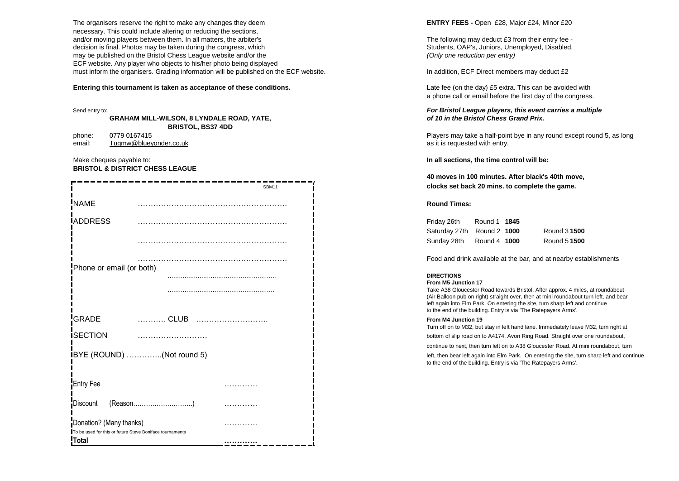The organisers reserve the right to make any changes they deem **ENTRY FEES - Open £28**, Major £24, Minor £20 necessary. This could include altering or reducing the sections, and/or moving players between them. In all matters, the arbiter's The following may deduct £3 from their entry fee decision is final. Photos may be taken during the congress, which Students, OAP's, Juniors, Unemployed, Disabled. may be published on the Bristol Chess League website and/or the *(Only one reduction per entry)* ECF website. Any player who objects to his/her photo being displayed must inform the organisers. Grading information will be published on the ECF website. In addition, ECF Direct members may deduct £2

### **Entering this tournament is taken as acceptance of these conditions.** Late fee (on the day) £5 extra. This can be avoided with

**GRAHAM MILL-WILSON, 8 LYNDALE ROAD, YATE,** *of 10 in the Bristol Chess Grand Prix.* **BRISTOL, BS37 4DD**

email: [Tugmw@blueyonder.co.uk](mailto:Tugmw@blueyonder.co.uk) as it is requested with entry.

Make cheques payable to: **In all sections, the time control will be: BRISTOL & DISTRICT CHESS LEAGUE**

| SBM11                                                    |  | clocks set back 20 mins. to complete the game.                                                                                      |
|----------------------------------------------------------|--|-------------------------------------------------------------------------------------------------------------------------------------|
| <b>NAME</b>                                              |  | <b>Round Times:</b>                                                                                                                 |
| <b>IADDRESS</b>                                          |  | Friday 26th<br>Round 1 1845                                                                                                         |
|                                                          |  | Saturday 27th<br>Round 2 1000<br>Round 3 1500                                                                                       |
|                                                          |  | Round 5 1500<br>Sunday 28th<br>Round 4 1000                                                                                         |
|                                                          |  | Food and drink available at the bar, and at nearby est                                                                              |
| Phone or email (or both)                                 |  | <b>DIRECTIONS</b>                                                                                                                   |
|                                                          |  | From M5 Junction 17                                                                                                                 |
|                                                          |  | Take A38 Gloucester Road towards Bristol. After approx. 4 mile<br>(Air Balloon pub on right) straight over, then at mini roundabout |
|                                                          |  | left again into Elm Park. On entering the site, turn sharp left and                                                                 |
|                                                          |  | to the end of the building. Entry is via 'The Ratepayers Arms'.                                                                     |
| GRADE                                                    |  | From M4 Junction 19<br>Turn off on to M32, but stay in left hand lane. Immediately leave                                            |
| <b>ISECTION</b>                                          |  | bottom of slip road on to A4174, Avon Ring Road. Straight over                                                                      |
|                                                          |  | continue to next, then turn left on to A38 Gloucester Road. At m                                                                    |
| <b>IBYE</b> (ROUND) (Not round 5)                        |  | left, then bear left again into Elm Park. On entering the site, turi                                                                |
|                                                          |  | to the end of the building. Entry is via 'The Ratepayers Arms'.                                                                     |
|                                                          |  |                                                                                                                                     |
| <b>Entry Fee</b>                                         |  |                                                                                                                                     |
| Discount                                                 |  |                                                                                                                                     |
| Donation? (Many thanks)                                  |  |                                                                                                                                     |
| To be used for this or future Steve Boniface tournaments |  |                                                                                                                                     |
| <b>Total</b>                                             |  |                                                                                                                                     |

a phone call or email before the first day of the congress.

## Send entry to: *For Bristol League players, this event carries a multiple*

phone: 0779 0167415 Players may take a half-point bye in any round except round 5, as long

**40 moves in 100 minutes. After black's 40th move,** clocks set back 20 mins, to complete the game.

| Friday 26th                | Round 1 1845 |              |
|----------------------------|--------------|--------------|
| Saturday 27th Round 2 1000 |              | Round 3 1500 |
| Sunday 28th                | Round 4 1000 | Round 5 1500 |

Food and drink available at the bar, and at nearby establishments

Take A38 Gloucester Road towards Bristol. After approx. 4 miles, at roundabout (Air Balloon pub on right) straight over, then at mini roundabout turn left, and bear left again into Elm Park. On entering the site, turn sharp left and continue to the end of the building. Entry is via 'The Ratepayers Arms'.

Turn off on to M32, but stay in left hand lane. Immediately leave M32, turn right at

bottom of slip road on to A4174, Avon Ring Road. Straight over one roundabout,

continue to next, then turn left on to A38 Gloucester Road. At mini roundabout, turn

left, then bear left again into Elm Park. On entering the site, turn sharp left and continue to the end of the building. Entry is via 'The Ratepayers Arms'.